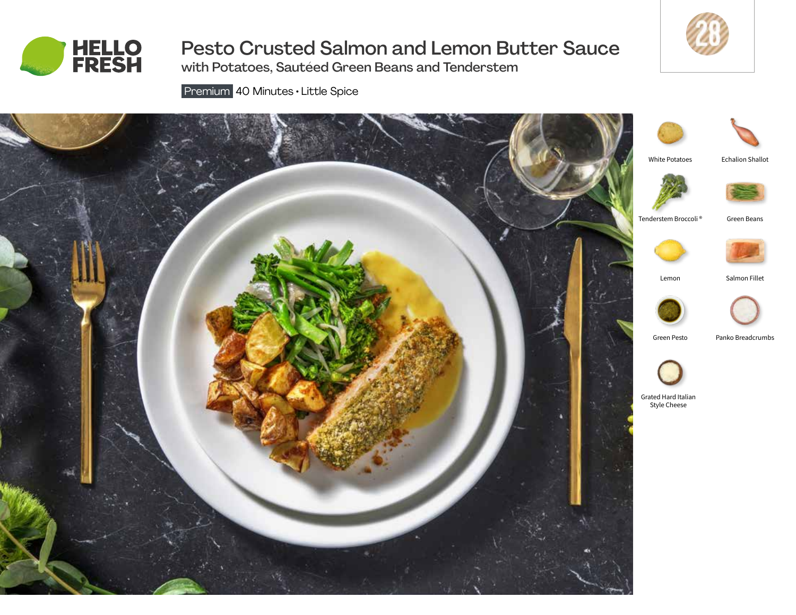

# Pesto Crusted Salmon and Lemon Butter Sauce



with Potatoes, Sautéed Green Beans and Tenderstem

Premium 40 Minutes • Little Spice